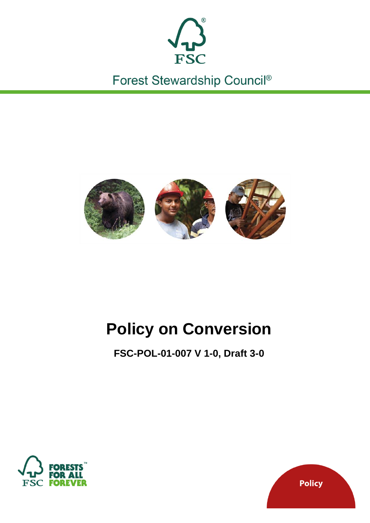

Forest Stewardship Council®



# **Policy on Conversion**

**FSC-POL-01-007 V 1-0, Draft 3-0**



Policy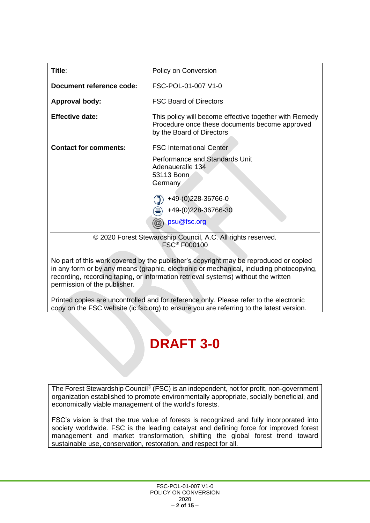| Title:                                                                                         | Policy on Conversion                                                                                                                  |  |
|------------------------------------------------------------------------------------------------|---------------------------------------------------------------------------------------------------------------------------------------|--|
| Document reference code:                                                                       | FSC-POL-01-007 V1-0                                                                                                                   |  |
| <b>Approval body:</b>                                                                          | <b>FSC Board of Directors</b>                                                                                                         |  |
| <b>Effective date:</b>                                                                         | This policy will become effective together with Remedy<br>Procedure once these documents become approved<br>by the Board of Directors |  |
| <b>Contact for comments:</b>                                                                   | <b>FSC International Center</b>                                                                                                       |  |
|                                                                                                | Performance and Standards Unit<br>Adenaueralle 134<br>53113 Bonn<br>Germany                                                           |  |
|                                                                                                | +49-(0)228-36766-0                                                                                                                    |  |
|                                                                                                | +49-(0)228-36766-30<br>阊                                                                                                              |  |
|                                                                                                | psu@fsc.org                                                                                                                           |  |
| © 2020 Forest Stewardship Council, A.C. All rights reserved.<br><b>FSC<sup>®</sup> F000100</b> |                                                                                                                                       |  |

No part of this work covered by the publisher's copyright may be reproduced or copied in any form or by any means (graphic, electronic or mechanical, including photocopying, recording, recording taping, or information retrieval systems) without the written permission of the publisher.

Printed copies are uncontrolled and for reference only. Please refer to the electronic copy on the FSC website (ic.fsc.org) to ensure you are referring to the latest version.

## **DRAFT 3-0**

The Forest Stewardship Council® (FSC) is an independent, not for profit, non-government organization established to promote environmentally appropriate, socially beneficial, and economically viable management of the world's forests.

FSC's vision is that the true value of forests is recognized and fully incorporated into society worldwide. FSC is the leading catalyst and defining force for improved forest management and market transformation, shifting the global forest trend toward sustainable use, conservation, restoration, and respect for all.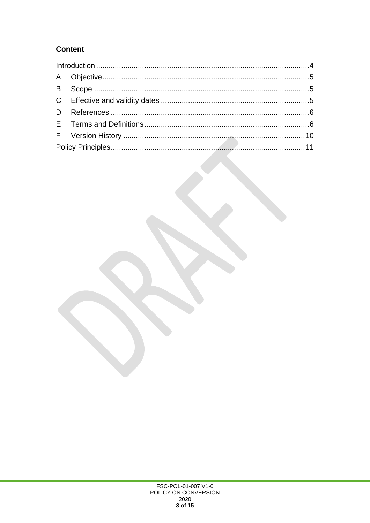### **Content**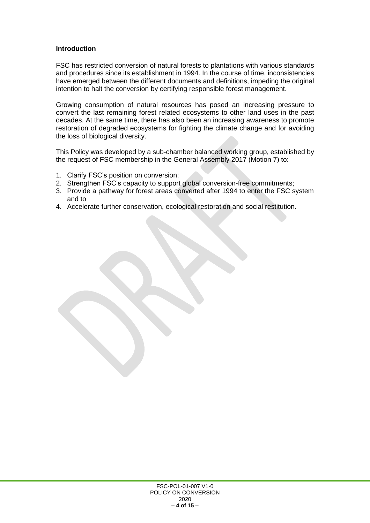#### <span id="page-3-0"></span>**Introduction**

FSC has restricted conversion of natural forests to plantations with various standards and procedures since its establishment in 1994. In the course of time, inconsistencies have emerged between the different documents and definitions, impeding the original intention to halt the conversion by certifying responsible forest management.

Growing consumption of natural resources has posed an increasing pressure to convert the last remaining forest related ecosystems to other land uses in the past decades. At the same time, there has also been an increasing awareness to promote restoration of degraded ecosystems for fighting the climate change and for avoiding the loss of biological diversity.

This Policy was developed by a sub-chamber balanced working group, established by the request of FSC membership in the General Assembly 2017 (Motion 7) to:

- 1. Clarify FSC's position on conversion;
- 2. Strengthen FSC's capacity to support global conversion-free commitments;
- 3. Provide a pathway for forest areas converted after 1994 to enter the FSC system and to
- 4. Accelerate further conservation, ecological restoration and social restitution.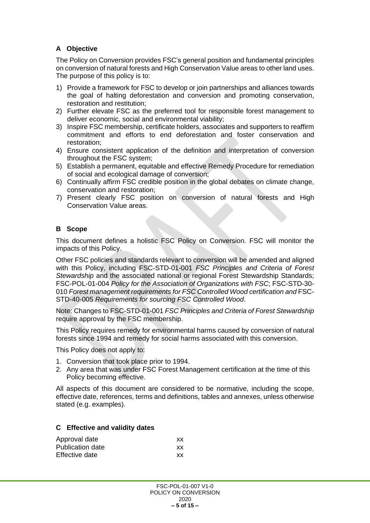#### <span id="page-4-0"></span>**A Objective**

The Policy on Conversion provides FSC's general position and fundamental principles on conversion of natural forests and High Conservation Value areas to other land uses. The purpose of this policy is to:

- 1) Provide a framework for FSC to develop or join partnerships and alliances towards the goal of halting deforestation and conversion and promoting conservation, restoration and restitution;
- 2) Further elevate FSC as the preferred tool for responsible forest management to deliver economic, social and environmental viability;
- 3) Inspire FSC membership, certificate holders, associates and supporters to reaffirm commitment and efforts to end deforestation and foster conservation and restoration;
- 4) Ensure consistent application of the definition and interpretation of conversion throughout the FSC system;
- 5) Establish a permanent, equitable and effective Remedy Procedure for remediation of social and ecological damage of conversion;
- 6) Continually affirm FSC credible position in the global debates on climate change, conservation and restoration;
- 7) Present clearly FSC position on conversion of natural forests and High Conservation Value areas.

#### <span id="page-4-1"></span>**B Scope**

This document defines a holistic FSC Policy on Conversion. FSC will monitor the impacts of this Policy.

Other FSC policies and standards relevant to conversion will be amended and aligned with this Policy, including FSC-STD-01-001 *FSC Principles and Criteria of Forest Stewardship* and the associated national or regional Forest Stewardship Standards; FSC-POL-01-004 *Policy for the Association of Organizations with FSC*; FSC-STD-30- 010 *Forest management requirements for FSC Controlled Wood certification and* FSC-STD-40-005 *Requirements for sourcing FSC Controlled Wood*.

Note: Changes to FSC-STD-01-001 *FSC Principles and Criteria of Forest Stewardship* require approval by the FSC membership.

This Policy requires remedy for environmental harms caused by conversion of natural forests since 1994 and remedy for social harms associated with this conversion.

This Policy does not apply to:

- 1. Conversion that took place prior to 1994.
- 2. Any area that was under FSC Forest Management certification at the time of this Policy becoming effective.

All aspects of this document are considered to be normative, including the scope, effective date, references, terms and definitions, tables and annexes, unless otherwise stated (e.g. examples).

#### <span id="page-4-2"></span>**C Effective and validity dates**

| Approval date    | xх |
|------------------|----|
| Publication date | xх |
| Effective date   | xх |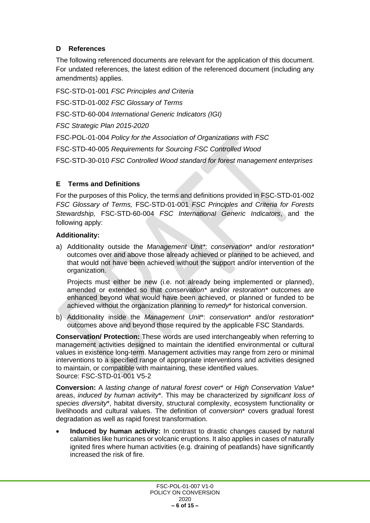#### <span id="page-5-0"></span>**D References**

The following referenced documents are relevant for the application of this document. For undated references, the latest edition of the referenced document (including any amendments) applies.

FSC-STD-01-001 *FSC Principles and Criteria* 

FSC-STD-01-002 *FSC Glossary of Terms*

FSC-STD-60-004 *International Generic Indicators (IGI)*

*FSC Strategic Plan 2015-2020*

FSC-POL-01-004 *Policy for the Association of Organizations with FSC*

FSC-STD-40-005 *Requirements for Sourcing FSC Controlled Wood*

FSC-STD-30-010 *FSC Controlled Wood standard for forest management enterprises*

#### <span id="page-5-1"></span>**E Terms and Definitions**

For the purposes of this Policy, the terms and definitions provided in FSC-STD-01-002 *FSC Glossary of Terms,* FSC-STD-01-001 *FSC Principles and Criteria for Forests Stewardship,* FSC-STD-60-004 *FSC International Generic Indicators*, and the following apply:

#### **Additionality:**

a) Additionality outside the *Management Unit\**: *conservation*\* and/or *restoration\** outcomes over and above those already achieved or planned to be achieved, and that would not have been achieved without the support and/or intervention of the organization.

Projects must either be new (i.e. not already being implemented or planned), amended or extended so that *conservation\** and/or *restoration\** outcomes are enhanced beyond what would have been achieved, or planned or funded to be achieved without the organization planning to *remedy*\* for historical conversion.

b) Additionality inside the *Management Unit*\*: *conservation*\* and/or *restoration*\* outcomes above and beyond those required by the applicable FSC Standards.

**Conservation/ Protection:** These words are used interchangeably when referring to management activities designed to maintain the identified environmental or cultural values in existence long-term. Management activities may range from zero or minimal interventions to a specified range of appropriate interventions and activities designed to maintain, or compatible with maintaining, these identified values. Source: FSC-STD-01-001 V5-2

**Conversion:** A *lasting change of natural forest cover*\* or *High Conservation Value\** areas, *induced by human activity*\*. This may be characterized by *significant loss of species diversity*\*, habitat diversity, structural complexity, ecosystem functionality or livelihoods and cultural values. The definition of *conversion*\* covers gradual forest degradation as well as rapid forest transformation.

• **Induced by human activity:** In contrast to drastic changes caused by natural calamities like hurricanes or volcanic eruptions. It also applies in cases of naturally ignited fires where human activities (e.g. draining of peatlands) have significantly increased the risk of fire.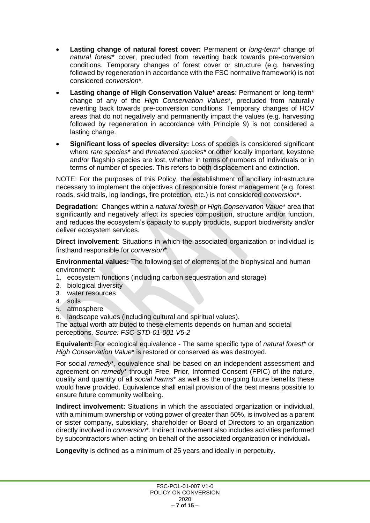- **Lasting change of natural forest cover:** Permanent or *long-term*\* change of *natural forest*\* cover, precluded from reverting back towards pre-conversion conditions. Temporary changes of forest cover or structure (e.g. harvesting followed by regeneration in accordance with the FSC normative framework) is not considered *conversion*\*.
- **Lasting change of High Conservation Value\* areas**: Permanent or long-term\* change of any of the *High Conservation Values*\*, precluded from naturally reverting back towards pre-conversion conditions. Temporary changes of HCV areas that do not negatively and permanently impact the values (e.g. harvesting followed by regeneration in accordance with Principle 9) is not considered a lasting change.
- **Significant loss of species diversity:** Loss of species is considered significant where *rare species*\* and *threatened species*\* or other locally important, keystone and/or flagship species are lost, whether in terms of numbers of individuals or in terms of number of species. This refers to both displacement and extinction.

NOTE: For the purposes of this Policy, the establishment of ancillary infrastructure necessary to implement the objectives of responsible forest management (e.g. forest roads, skid trails, log landings, fire protection, etc.) is not considered *conversion*\*.

**Degradation:** Changes within a *natural forest*\* or *High Conservation Value*\* area that significantly and negatively affect its species composition, structure and/or function, and reduces the ecosystem's capacity to supply products, support biodiversity and/or deliver ecosystem services.

**Direct involvement**: Situations in which the associated organization or individual is firsthand responsible for *conversion*\*.

**Environmental values:** The following set of elements of the biophysical and human environment:

- 1. ecosystem functions (including carbon sequestration and storage)
- 2. biological diversity
- 3. water resources
- 4. soils
- 5. atmosphere

6. landscape values (including cultural and spiritual values).

The actual worth attributed to these elements depends on human and societal perceptions. *Source: FSC-STD-01-001 V5-2*

**Equivalent:** For ecological equivalence - The same specific type of *natural forest*\* or *High Conservation Value*\* is restored or conserved as was destroyed.

For social *remedy*\*, equivalence shall be based on an independent assessment and agreement on *remedy*\* through Free, Prior, Informed Consent (FPIC) of the nature, quality and quantity of all *social harms*\* as well as the on-going future benefits these would have provided. Equivalence shall entail provision of the best means possible to ensure future community wellbeing.

**Indirect involvement:** Situations in which the associated organization or individual, with a minimum ownership or voting power of greater than 50%, is involved as a parent or sister company, subsidiary, shareholder or Board of Directors to an organization directly involved in *conversion*\*. Indirect involvement also includes activities performed by subcontractors when acting on behalf of the associated organization or individual。

**Longevity** is defined as a minimum of 25 years and ideally in perpetuity.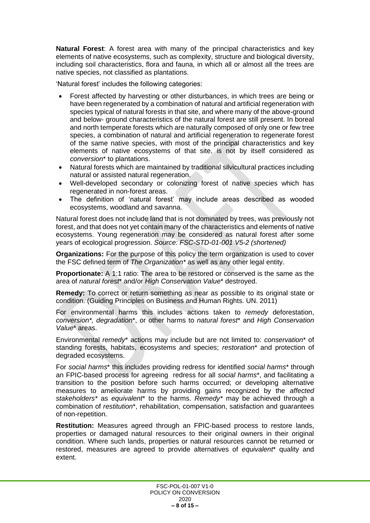**Natural Forest**: A forest area with many of the principal characteristics and key elements of native ecosystems, such as complexity, structure and biological diversity, including soil characteristics, flora and fauna, in which all or almost all the trees are native species, not classified as plantations.

'Natural forest' includes the following categories:

- Forest affected by harvesting or other disturbances, in which trees are being or have been regenerated by a combination of natural and artificial regeneration with species typical of natural forests in that site, and where many of the above-ground and below- ground characteristics of the natural forest are still present. In boreal and north temperate forests which are naturally composed of only one or few tree species, a combination of natural and artificial regeneration to regenerate forest of the same native species, with most of the principal characteristics and key elements of native ecosystems of that site, is not by itself considered as *conversion*\* to plantations.
- Natural forests which are maintained by traditional silvicultural practices including natural or assisted natural regeneration.
- Well-developed secondary or colonizing forest of native species which has regenerated in non-forest areas.
- The definition of 'natural forest' may include areas described as wooded ecosystems, woodland and savanna.

Natural forest does not include land that is not dominated by trees, was previously not forest, and that does not yet contain many of the characteristics and elements of native ecosystems. Young regeneration may be considered as natural forest after some years of ecological progression. *Source: FSC-STD-01-001 V5-2 (shortened)*

**Organizations:** For the purpose of this policy the term organization is used to cover the FSC defined term of *The Organization\** as well as any other legal entity.

**Proportionate:** A 1:1 ratio: The area to be restored or conserved is the same as the area of *natural forest*\* and/or *High Conservation Value*\* destroyed.

**Remedy:** To correct or return something as near as possible to its original state or condition. (Guiding Principles on Business and Human Rights. UN. 2011)

For environmental harms this includes actions taken to *remedy* deforestation, *conversion\*, degradation*\*, or other harms to *natural forest*\* and *High Conservation Value*\* areas.

Environmental *remedy*\* actions may include but are not limited to: *conservation*\* of standing forests, habitats, ecosystems and species; *restoration*\* and protection of degraded ecosystems.

For *social harms*\* this includes providing redress for identified *social harms*\* through an FPIC-based process for agreeing redress for all *social harms*\*, and facilitating a transition to the position before such harms occurred; or developing alternative measures to ameliorate harms by providing gains recognized by the *affected stakeholders\** as *equivalent*\* to the harms. *Remedy\** may be achieved through a combination of *restitution*\*, rehabilitation, compensation, satisfaction and guarantees of non-repetition.

**Restitution:** Measures agreed through an FPIC-based process to restore lands, properties or damaged natural resources to their original owners in their original condition. Where such lands, properties or natural resources cannot be returned or restored, measures are agreed to provide alternatives of *equivalent*\* quality and extent.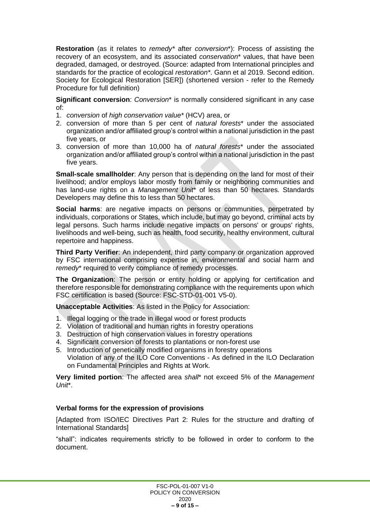**Restoration** (as it relates to *remedy\** after *conversion*\*): Process of assisting the recovery of an ecosystem, and its associated *conservation*\* values, that have been degraded, damaged, or destroyed. (Source: adapted from International principles and standards for the practice of ecological *restoration\**. Gann et al 2019. Second edition. Society for Ecological Restoration [SER]) (shortened version - refer to the Remedy Procedure for full definition)

**Significant conversion**: *Conversion*\* is normally considered significant in any case of:

- 1. *conversion* of *high conservation value\** (HCV) area, or
- 2. conversion of more than 5 per cent of *natural forests*\* under the associated organization and/or affiliated group's control within a national jurisdiction in the past five years, or
- 3. conversion of more than 10,000 ha of *natural forests*\* under the associated organization and/or affiliated group's control within a national jurisdiction in the past five years.

**Small-scale smallholder**: Any person that is depending on the land for most of their livelihood; and/or employs labor mostly from family or neighboring communities and has land-use rights on a *Management Unit*\* of less than 50 hectares. Standards Developers may define this to less than 50 hectares.

**Social harms**: are negative impacts on persons or communities, perpetrated by individuals, corporations or States, which include, but may go beyond, criminal acts by legal persons. Such harms include negative impacts on persons' or groups' rights, livelihoods and well-being, such as health, food security, healthy environment, cultural repertoire and happiness.

**Third Party Verifier**: An independent, third party company or organization approved by FSC international comprising expertise in, environmental and social harm and *remedy*\* required to verify compliance of remedy processes.

**The Organization**: The person or entity holding or applying for certification and therefore responsible for demonstrating compliance with the requirements upon which FSC certification is based (Source: FSC-STD-01-001 V5-0).

**Unacceptable Activities**: As listed in the Policy for Association:

- 1. Illegal logging or the trade in illegal wood or forest products
- 2. Violation of traditional and human rights in forestry operations
- 3. Destruction of high conservation values in forestry operations
- 4. Significant conversion of forests to plantations or non-forest use
- 5. Introduction of genetically modified organisms in forestry operations Violation of any of the ILO Core Conventions - As defined in the ILO Declaration on Fundamental Principles and Rights at Work.

**Very limited portion**: The affected area *shall*\* not exceed 5% of the *Management Unit*\*.

#### **Verbal forms for the expression of provisions**

[Adapted from ISO/IEC Directives Part 2: Rules for the structure and drafting of International Standards]

"shall": indicates requirements strictly to be followed in order to conform to the document.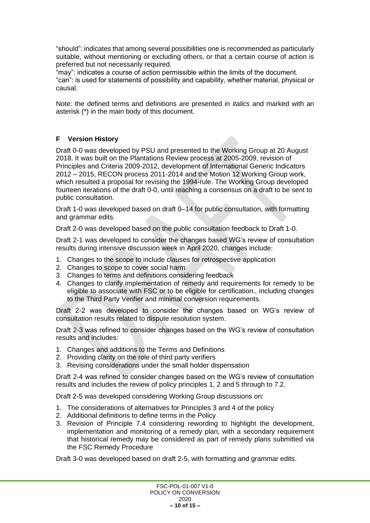"should": indicates that among several possibilities one is recommended as particularly suitable, without mentioning or excluding others, or that a certain course of action is preferred but not necessarily required.

"may": indicates a course of action permissible within the limits of the document. "can": is used for statements of possibility and capability, whether material, physical or causal.

Note: the defined terms and definitions are presented in *italics* and marked with an asterisk (\*) in the main body of this document.

#### <span id="page-9-0"></span>**F Version History**

Draft 0-0 was developed by PSU and presented to the Working Group at 20 August 2018. It was built on the Plantations Review process at 2005-2009, revision of Principles and Criteria 2009-2012, development of International Generic Indicators 2012 – 2015, RECON process 2011-2014 and the Motion 12 Working Group work, which resulted a proposal for revising the 1994-rule. The Working Group developed fourteen iterations of the draft 0-0, until reaching a consensus on a draft to be sent to public consultation.

Draft 1-0 was developed based on draft 0–14 for public consultation, with formatting and grammar edits.

Draft 2-0 was developed based on the public consultation feedback to Draft 1-0.

Draft 2-1 was developed to consider the changes based WG's review of consultation results during intensive discussion week in April 2020, changes include:

- 1. Changes to the scope to include clauses for retrospective application
- 2. Changes to scope to cover social harm
- 3. Changes to terms and definitions considering feedback
- 4. Changes to clarify implementation of remedy and requirements for remedy to be eligible to associate with FSC or to be eligible for certification., including changes to the Third Party Verifier and minimal conversion requirements.

Draft 2-2 was developed to consider the changes based on WG's review of consultation results related to dispute resolution system.

Draft 2-3 was refined to consider changes based on the WG's review of consultation results and includes:

- 1. Changes and additions to the Terms and Definitions
- 2. Providing clarity on the role of third party verifiers
- 3. Revising considerations under the small holder dispensation

Draft 2-4 was refined to consider changes based on the WG's review of consultation results and includes the review of policy principles 1, 2 and 5 through to 7.2.

Draft 2-5 was developed considering Working Group discussions on:

- 1. The considerations of alternatives for Principles 3 and 4 of the policy
- 2. Additional definitions to define terms in the Policy
- 3. Revision of Principle 7.4 considering rewording to highlight the development, implementation and monitoring of a remedy plan, with a secondary requirement that historical remedy may be considered as part of remedy plans submitted via the FSC Remedy Procedure

Draft 3-0 was developed based on draft 2-5, with formatting and grammar edits.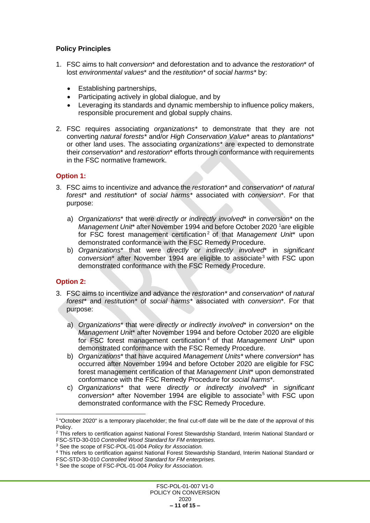#### <span id="page-10-0"></span>**Policy Principles**

- 1. FSC aims to halt *conversion*\* and deforestation and to advance the *restoration*\* of lost *environmental values*\* and the *restitution\** of *social harms\** by:
	- Establishing partnerships.
	- Participating actively in global dialogue, and by
	- Leveraging its standards and dynamic membership to influence policy makers, responsible procurement and global supply chains.
- 2. FSC requires associating *organizations\** to demonstrate that they are not converting *natural forests\** and/or *High Conservation Value\** areas to *plantations*\* or other land uses. The associating *organizations\** are expected to demonstrate their *conservation*\* and *restoration*\* efforts through conformance with requirements in the FSC normative framework.

#### **Option 1:**

- 3. FSC aims to incentivize and advance the *restoration\** and *conservation*\* of *natural forest\** and *restitution*\* of *social harms\** associated with *conversion*\*. For that purpose:
	- a) *Organizations*\* that were *directly or indirectly involved*\* in *conversion\** on the *Management Unit*\* after November 1994 and before October 2020 <sup>1</sup>are eligible for FSC forest management certification<sup>2</sup> of that *Management Unit*\* upon demonstrated conformance with the FSC Remedy Procedure.
	- b) *Organizations*\* that were *directly or indirectly involved*\* in *significant conversion\** after November 1994 are eligible to associate<sup>3</sup> with FSC upon demonstrated conformance with the FSC Remedy Procedure.

#### **Option 2:**

- 3. FSC aims to incentivize and advance the *restoration\** and *conservation*\* of *natural forest\** and *restitution\** of *social harms\** associated with *conversion*\*. For that purpose:
	- a) *Organizations*\* that were *directly or indirectly involved*\* in *conversion\** on the *Management Unit*\* after November 1994 and before October 2020 are eligible for FSC forest management certification<sup>4</sup> of that *Management Unit*<sup>\*</sup> upon demonstrated conformance with the FSC Remedy Procedure.
	- b) *Organizations*\* that have acquired *Management Units\** where *conversion*\* has occurred after November 1994 and before October 2020 are eligible for FSC forest management certification of that *Management Unit*\* upon demonstrated conformance with the FSC Remedy Procedure for *social harms*\*.
	- c) *Organizations\** that were *directly or indirectly involved*\* in *significant conversion*<sup>\*</sup> after November 1994 are eligible to associate<sup>5</sup> with FSC upon demonstrated conformance with the FSC Remedy Procedure.

<sup>1</sup> "October 2020" is a temporary placeholder; the final cut-off date will be the date of the approval of this Policy.

<sup>&</sup>lt;sup>2</sup> This refers to certification against National Forest Stewardship Standard, Interim National Standard or FSC-STD-30-010 *Controlled Wood Standard for FM enterprises.*

<sup>3</sup> See the scope of FSC-POL-01-004 *Policy for Association.*

<sup>4</sup> This refers to certification against National Forest Stewardship Standard, Interim National Standard or FSC-STD-30-010 *Controlled Wood Standard for FM enterprises.*

<sup>5</sup> See the scope of FSC-POL-01-004 *Policy for Association*.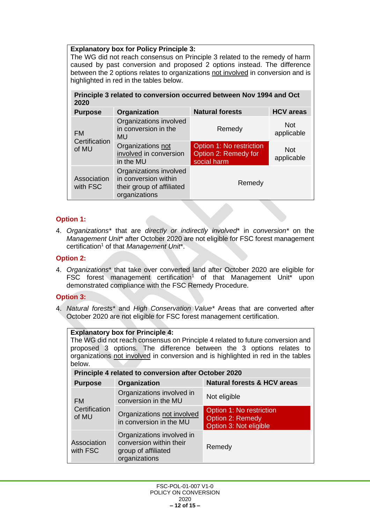#### **Explanatory box for Policy Principle 3:**

The WG did not reach consensus on Principle 3 related to the remedy of harm caused by past conversion and proposed 2 options instead. The difference between the 2 options relates to organizations not involved in conversion and is highlighted in red in the tables below.

| Principle 3 related to conversion occurred between Nov 1994 and Oct |  |
|---------------------------------------------------------------------|--|
| -2020                                                               |  |

| <b>Purpose</b>                      | Organization                                                                                 | <b>Natural forests</b>                                          | <b>HCV</b> areas         |
|-------------------------------------|----------------------------------------------------------------------------------------------|-----------------------------------------------------------------|--------------------------|
| <b>FM</b><br>Certification<br>of MU | Organizations involved<br>in conversion in the<br>MU                                         | Remedy                                                          | <b>Not</b><br>applicable |
|                                     | Organizations not<br>involved in conversion<br>in the MU                                     | Option 1: No restriction<br>Option 2: Remedy for<br>social harm | <b>Not</b><br>applicable |
| Association<br>with FSC             | Organizations involved<br>in conversion within<br>their group of affiliated<br>organizations | Remedy                                                          |                          |

#### **Option 1:**

4. *Organizations\** that are *directly or indirectly involved*\* in *conversion\** on the *Management Unit*\* after October 2020 are not eligible for FSC forest management certification<sup>1</sup> of that *Management Unit*\*.

#### **Option 2:**

4. *Organizations*\* that take over converted land after October 2020 are eligible for FSC forest management certification<sup>1</sup> of that Management Unit<sup>\*</sup> upon demonstrated compliance with the FSC Remedy Procedure.

#### **Option 3:**

4. *Natural forests\** and *High Conservation Value\** Areas that are converted after October 2020 are not eligible for FSC forest management certification.

| <b>Explanatory box for Principle 4:</b>                                                                                                                                                                                                             |                                                                                              |                                                                               |  |  |
|-----------------------------------------------------------------------------------------------------------------------------------------------------------------------------------------------------------------------------------------------------|----------------------------------------------------------------------------------------------|-------------------------------------------------------------------------------|--|--|
| The WG did not reach consensus on Principle 4 related to future conversion and<br>proposed 3 options. The difference between the 3 options relates to<br>organizations not involved in conversion and is highlighted in red in the tables<br>below. |                                                                                              |                                                                               |  |  |
| Principle 4 related to conversion after October 2020                                                                                                                                                                                                |                                                                                              |                                                                               |  |  |
| <b>Purpose</b>                                                                                                                                                                                                                                      | Organization                                                                                 | <b>Natural forests &amp; HCV areas</b>                                        |  |  |
| <b>FM</b><br>Certification<br>of MU                                                                                                                                                                                                                 | Organizations involved in<br>conversion in the MU                                            | Not eligible                                                                  |  |  |
|                                                                                                                                                                                                                                                     | Organizations not involved<br>in conversion in the MU                                        | Option 1: No restriction<br><b>Option 2: Remedy</b><br>Option 3: Not eligible |  |  |
| <b>Association</b><br>with FSC                                                                                                                                                                                                                      | Organizations involved in<br>conversion within their<br>group of affiliated<br>organizations | Remedy                                                                        |  |  |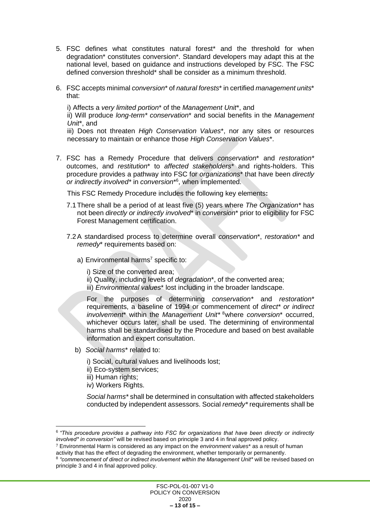- 5. FSC defines what constitutes natural forest\* and the threshold for when degradation\* constitutes conversion\*. Standard developers may adapt this at the national level, based on guidance and instructions developed by FSC. The FSC defined conversion threshold\* shall be consider as a minimum threshold.
- 6. FSC accepts minimal *conversion*\* of *natural forests*\* in certified *management units*\* that:

i) Affects a *very limited portion*\* of the *Management Unit*\*, and

ii) Will produce *long-term\* conservation*\* and social benefits in the *Management Unit*\*, and

iii) Does not threaten *High Conservation Values*\*, nor any sites or resources necessary to maintain or enhance those *High Conservation Values*\*.

7. FSC has a Remedy Procedure that delivers *conservation*\* and *restoration\** outcomes, and *restitution*\* to *affected stakeholders*\* and rights-holders. This procedure provides a pathway into FSC for *organizations*\* that have been *directly or indirectly involved\** in *conversion*\* 6 , when implemented.

This FSC Remedy Procedure includes the following key elements**:**

- 7.1There shall be a period of at least five (5) years where *The Organization\** has not been *directly or indirectly involved*\* in *conversion*\* prior to eligibility for FSC Forest Management certification.
- 7.2A standardised process to determine overall *conservation*\*, *restoration\** and *remedy*\* requirements based on:
	- a) Environmental harms <sup>7</sup> specific to:
		- i) Size of the converted area;
		- ii) Quality, including levels of *degradation*\*, of the converted area;
		- iii) *Environmental values*\* lost including in the broader landscape.

For the purposes of determining *conservation\** and *restoration\** requirements, a baseline of 1994 or commencement of *direct\* or indirect involvement*\* within the *Management Unit\** <sup>8</sup>where *conversion*\* occurred, whichever occurs later, shall be used. The determining of environmental harms shall be standardised by the Procedure and based on best available information and expert consultation.

b) *Social harms*\* related to:

i) Social, cultural values and livelihoods lost;

ii) Eco-system services;

iii) Human rights;

iv) Workers Rights.

*Social harms\** shall be determined in consultation with affected stakeholders conducted by independent assessors. Social *remedy\** requirements shall be

<sup>7</sup> Environmental Harm is considered as any impact on the *environment values*\* as a result of human

 $^6$  "This procedure provides a pathway into FSC for organizations that have been directly or indirectly *involved\* in conversion"* will be revised based on principle 3 and 4 in final approved policy.

activity that has the effect of degrading the environment, whether temporarily or permanently. 8 *"commencement of direct or indirect involvement within the Management Unit\** will be revised based on principle 3 and 4 in final approved policy.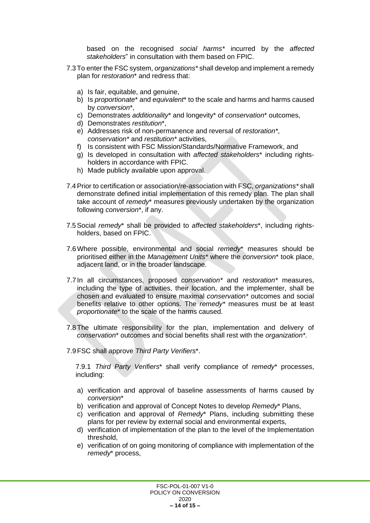based on the recognised *social harms\** incurred by the *affected stakeholders*" in consultation with them based on FPIC.

- 7.3 To enter the FSC system, *organizations\** shall develop and implement a remedy plan for *restoration*\* and redress that:
	- a) Is fair, equitable, and genuine,
	- b) Is *proportionate*\* and *equivalent*\* to the scale and harms and harms caused by *conversion*\*,
	- c) Demonstrates *additionality*\* and longevity\* of *conservation*\* outcomes,
	- d) Demonstrates *restitution*\*,
	- e) Addresses risk of non-permanence and reversal of *restoration\**, *conservation\** and *restitution\** activities,
	- f) Is consistent with FSC Mission/Standards/Normative Framework, and
	- g) Is developed in consultation with *affected stakeholders*\* including rightsholders in accordance with FPIC.
	- h) Made publicly available upon approval.
- 7.4Prior to certification or association/re-association with FSC, *organizations\** shall demonstrate defined initial implementation of this remedy plan. The plan shall take account of *remedy*\* measures previously undertaken by the organization following *conversion*\*, if any.
- 7.5Social *remedy*\* shall be provided to *affected stakeholders*\*, including rightsholders, based on FPIC.
- 7.6Where possible, environmental and social *remedy*\* measures should be prioritised either in the *Management Units\** where the *conversion*\* took place, adjacent land, or in the broader landscape.
- 7.7 In all circumstances, proposed *conservation\** and *restoration\** measures, including the type of activities, their location, and the implementer, shall be chosen and evaluated to ensure maximal *conservation\** outcomes and social benefits relative to other options. The *remedy\** measures must be at least *proportionate*\* to the scale of the harms caused.
- 7.8The ultimate responsibility for the plan, implementation and delivery of *conservation*\* outcomes and social benefits shall rest with the *organization\**.
- 7.9FSC shall approve *Third Party Verifiers*\*.

7.9.1 *Third Party Verifiers*\* shall verify compliance of *remedy*\* processes, including:

- a) verification and approval of baseline assessments of harms caused by *conversion*\*
- b) verification and approval of Concept Notes to develop *Remedy*\* Plans,
- c) verification and approval of *Remedy*\* Plans, including submitting these plans for per review by external social and environmental experts,
- d) verification of implementation of the plan to the level of the Implementation threshold,
- e) verification of on going monitoring of compliance with implementation of the *remedy*\* process,